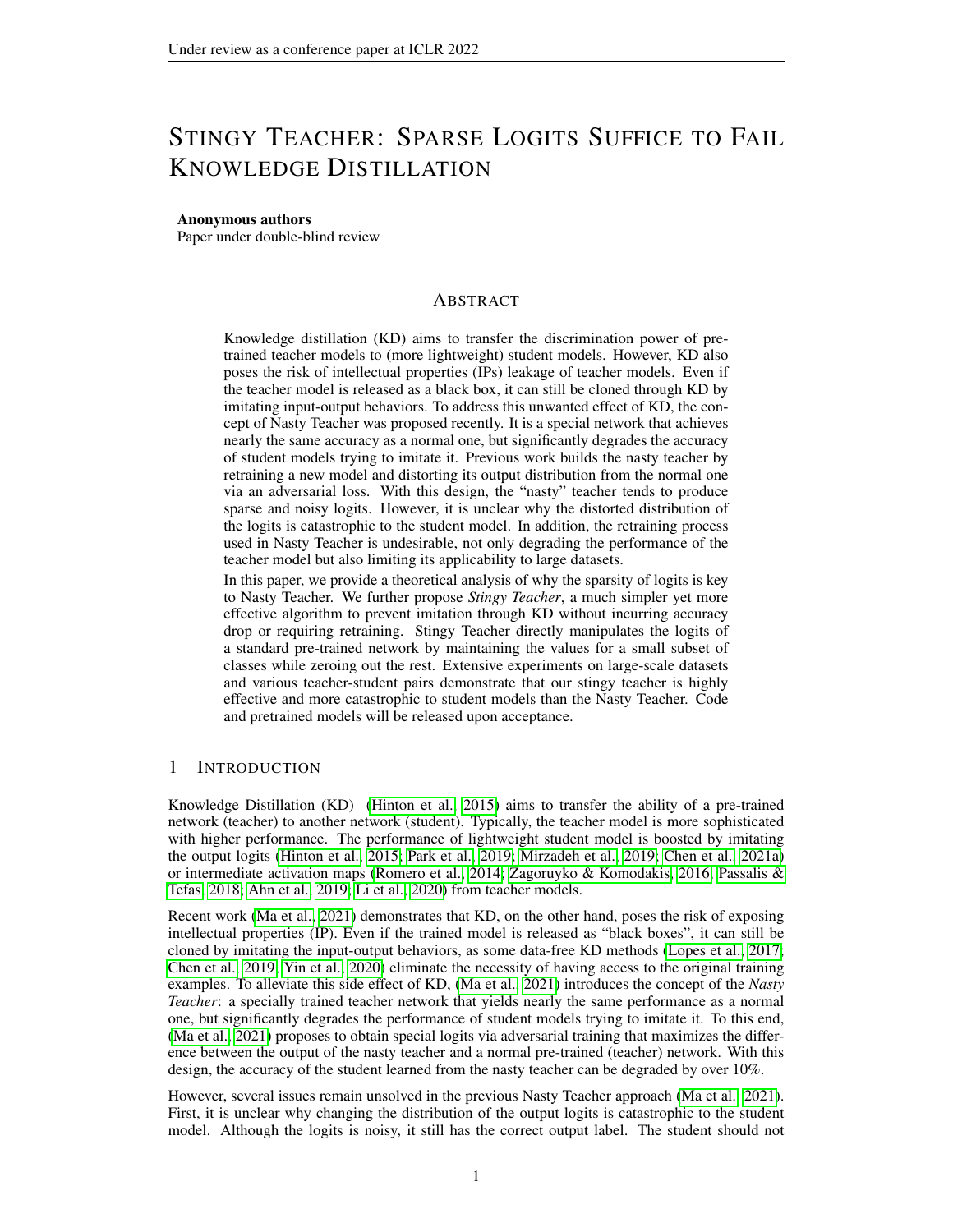# STINGY TEACHER: SPARSE LOGITS SUFFICE TO FAIL KNOWLEDGE DISTILLATION

## Anonymous authors

Paper under double-blind review

# ABSTRACT

Knowledge distillation (KD) aims to transfer the discrimination power of pretrained teacher models to (more lightweight) student models. However, KD also poses the risk of intellectual properties (IPs) leakage of teacher models. Even if the teacher model is released as a black box, it can still be cloned through KD by imitating input-output behaviors. To address this unwanted effect of KD, the concept of Nasty Teacher was proposed recently. It is a special network that achieves nearly the same accuracy as a normal one, but significantly degrades the accuracy of student models trying to imitate it. Previous work builds the nasty teacher by retraining a new model and distorting its output distribution from the normal one via an adversarial loss. With this design, the "nasty" teacher tends to produce sparse and noisy logits. However, it is unclear why the distorted distribution of the logits is catastrophic to the student model. In addition, the retraining process used in Nasty Teacher is undesirable, not only degrading the performance of the teacher model but also limiting its applicability to large datasets.

In this paper, we provide a theoretical analysis of why the sparsity of logits is key to Nasty Teacher. We further propose *Stingy Teacher*, a much simpler yet more effective algorithm to prevent imitation through KD without incurring accuracy drop or requiring retraining. Stingy Teacher directly manipulates the logits of a standard pre-trained network by maintaining the values for a small subset of classes while zeroing out the rest. Extensive experiments on large-scale datasets and various teacher-student pairs demonstrate that our stingy teacher is highly effective and more catastrophic to student models than the Nasty Teacher. Code and pretrained models will be released upon acceptance.

# 1 INTRODUCTION

Knowledge Distillation (KD) [\(Hinton et al., 2015\)](#page-9-0) aims to transfer the ability of a pre-trained network (teacher) to another network (student). Typically, the teacher model is more sophisticated with higher performance. The performance of lightweight student model is boosted by imitating the output logits [\(Hinton et al., 2015;](#page-9-0) [Park et al., 2019;](#page-9-1) [Mirzadeh et al., 2019;](#page-9-2) [Chen et al., 2021a\)](#page-9-3) or intermediate activation maps [\(Romero et al., 2014;](#page-10-0) [Zagoruyko & Komodakis, 2016;](#page-10-1) [Passalis &](#page-9-4) [Tefas, 2018;](#page-9-4) [Ahn et al., 2019;](#page-9-5) [Li et al., 2020\)](#page-9-6) from teacher models.

Recent work [\(Ma et al., 2021\)](#page-9-7) demonstrates that KD, on the other hand, poses the risk of exposing intellectual properties (IP). Even if the trained model is released as "black boxes", it can still be cloned by imitating the input-output behaviors, as some data-free KD methods [\(Lopes et al., 2017;](#page-9-8) [Chen et al., 2019;](#page-9-9) [Yin et al., 2020\)](#page-10-2) eliminate the necessity of having access to the original training examples. To alleviate this side effect of KD, [\(Ma et al., 2021\)](#page-9-7) introduces the concept of the *Nasty Teacher*: a specially trained teacher network that yields nearly the same performance as a normal one, but significantly degrades the performance of student models trying to imitate it. To this end, [\(Ma et al., 2021\)](#page-9-7) proposes to obtain special logits via adversarial training that maximizes the difference between the output of the nasty teacher and a normal pre-trained (teacher) network. With this design, the accuracy of the student learned from the nasty teacher can be degraded by over 10%.

However, several issues remain unsolved in the previous Nasty Teacher approach [\(Ma et al., 2021\)](#page-9-7). First, it is unclear why changing the distribution of the output logits is catastrophic to the student model. Although the logits is noisy, it still has the correct output label. The student should not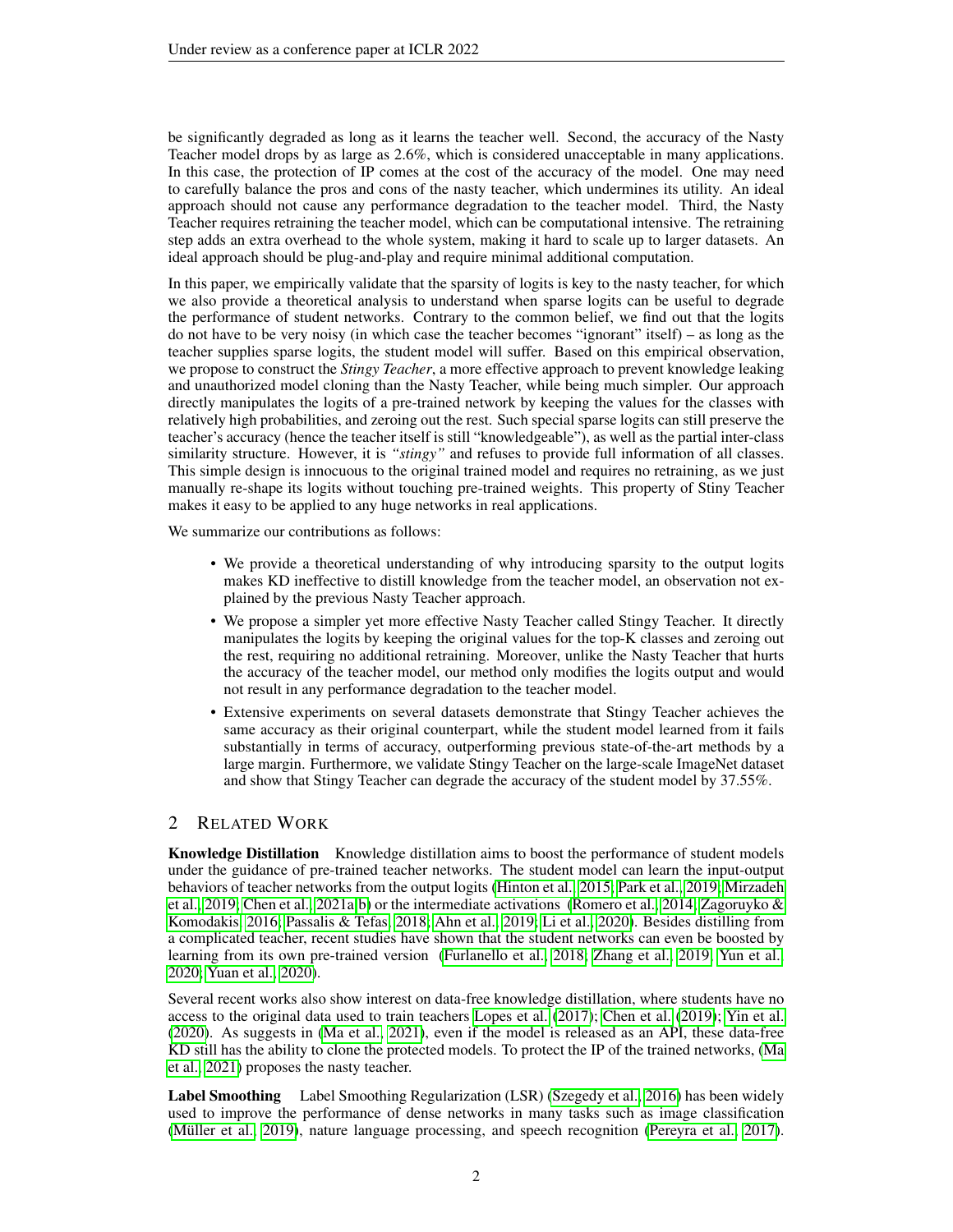be significantly degraded as long as it learns the teacher well. Second, the accuracy of the Nasty Teacher model drops by as large as 2.6%, which is considered unacceptable in many applications. In this case, the protection of IP comes at the cost of the accuracy of the model. One may need to carefully balance the pros and cons of the nasty teacher, which undermines its utility. An ideal approach should not cause any performance degradation to the teacher model. Third, the Nasty Teacher requires retraining the teacher model, which can be computational intensive. The retraining step adds an extra overhead to the whole system, making it hard to scale up to larger datasets. An ideal approach should be plug-and-play and require minimal additional computation.

In this paper, we empirically validate that the sparsity of logits is key to the nasty teacher, for which we also provide a theoretical analysis to understand when sparse logits can be useful to degrade the performance of student networks. Contrary to the common belief, we find out that the logits do not have to be very noisy (in which case the teacher becomes "ignorant" itself) – as long as the teacher supplies sparse logits, the student model will suffer. Based on this empirical observation, we propose to construct the *Stingy Teacher*, a more effective approach to prevent knowledge leaking and unauthorized model cloning than the Nasty Teacher, while being much simpler. Our approach directly manipulates the logits of a pre-trained network by keeping the values for the classes with relatively high probabilities, and zeroing out the rest. Such special sparse logits can still preserve the teacher's accuracy (hence the teacher itself is still "knowledgeable"), as well as the partial inter-class similarity structure. However, it is *"stingy"* and refuses to provide full information of all classes. This simple design is innocuous to the original trained model and requires no retraining, as we just manually re-shape its logits without touching pre-trained weights. This property of Stiny Teacher makes it easy to be applied to any huge networks in real applications.

We summarize our contributions as follows:

- We provide a theoretical understanding of why introducing sparsity to the output logits makes KD ineffective to distill knowledge from the teacher model, an observation not explained by the previous Nasty Teacher approach.
- We propose a simpler yet more effective Nasty Teacher called Stingy Teacher. It directly manipulates the logits by keeping the original values for the top-K classes and zeroing out the rest, requiring no additional retraining. Moreover, unlike the Nasty Teacher that hurts the accuracy of the teacher model, our method only modifies the logits output and would not result in any performance degradation to the teacher model.
- Extensive experiments on several datasets demonstrate that Stingy Teacher achieves the same accuracy as their original counterpart, while the student model learned from it fails substantially in terms of accuracy, outperforming previous state-of-the-art methods by a large margin. Furthermore, we validate Stingy Teacher on the large-scale ImageNet dataset and show that Stingy Teacher can degrade the accuracy of the student model by 37.55%.

# 2 RELATED WORK

Knowledge Distillation Knowledge distillation aims to boost the performance of student models under the guidance of pre-trained teacher networks. The student model can learn the input-output behaviors of teacher networks from the output logits [\(Hinton et al., 2015;](#page-9-0) [Park et al., 2019;](#page-9-1) [Mirzadeh](#page-9-2) [et al., 2019;](#page-9-2) [Chen et al., 2021a](#page-9-3)[;b\)](#page-9-10) or the intermediate activations [\(Romero et al., 2014;](#page-10-0) [Zagoruyko &](#page-10-1) [Komodakis, 2016;](#page-10-1) [Passalis & Tefas, 2018;](#page-9-4) [Ahn et al., 2019;](#page-9-5) [Li et al., 2020\)](#page-9-6). Besides distilling from a complicated teacher, recent studies have shown that the student networks can even be boosted by learning from its own pre-trained version [\(Furlanello et al., 2018;](#page-9-11) [Zhang et al., 2019;](#page-10-3) [Yun et al.,](#page-10-4) [2020;](#page-10-4) [Yuan et al., 2020\)](#page-10-5).

Several recent works also show interest on data-free knowledge distillation, where students have no access to the original data used to train teachers [Lopes et al.](#page-9-8) [\(2017\)](#page-9-8); [Chen et al.](#page-9-9) [\(2019\)](#page-9-9); [Yin et al.](#page-10-2) [\(2020\)](#page-10-2). As suggests in [\(Ma et al., 2021\)](#page-9-7), even if the model is released as an API, these data-free KD still has the ability to clone the protected models. To protect the IP of the trained networks, [\(Ma](#page-9-7) [et al., 2021\)](#page-9-7) proposes the nasty teacher.

Label Smoothing Label Smoothing Regularization (LSR) [\(Szegedy et al., 2016\)](#page-10-6) has been widely used to improve the performance of dense networks in many tasks such as image classification (Müller et al., 2019), nature language processing, and speech recognition [\(Pereyra et al., 2017\)](#page-10-7).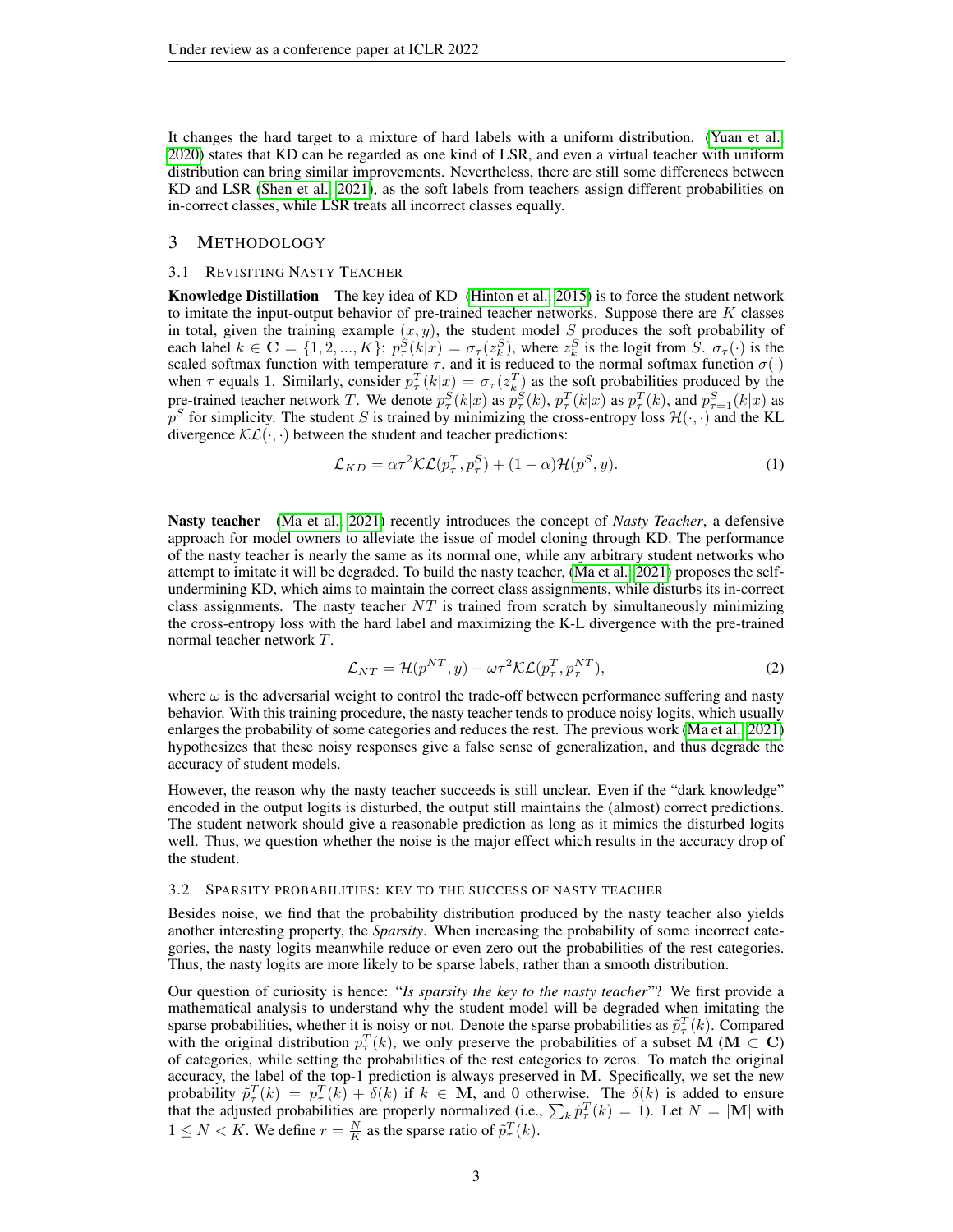It changes the hard target to a mixture of hard labels with a uniform distribution. [\(Yuan et al.,](#page-10-5) [2020\)](#page-10-5) states that KD can be regarded as one kind of LSR, and even a virtual teacher with uniform distribution can bring similar improvements. Nevertheless, there are still some differences between KD and LSR [\(Shen et al., 2021\)](#page-10-8), as the soft labels from teachers assign different probabilities on in-correct classes, while LSR treats all incorrect classes equally.

# 3 METHODOLOGY

#### 3.1 REVISITING NASTY TEACHER

Knowledge Distillation The key idea of KD [\(Hinton et al., 2015\)](#page-9-0) is to force the student network to imitate the input-output behavior of pre-trained teacher networks. Suppose there are  $K$  classes in total, given the training example  $(x, y)$ , the student model S produces the soft probability of each label  $k \in \mathbf{C} = \{1, 2, ..., K\}$ :  $p^S_\tau(k|x) = \sigma_\tau(z^S_k)$ , where  $z^S_k$  is the logit from  $\overline{S}$ .  $\sigma_\tau(\cdot)$  is the scaled softmax function with temperature  $\tau$ , and it is reduced to the normal softmax function  $\sigma(\cdot)$ when  $\tau$  equals 1. Similarly, consider  $p_\tau^T(k|x) = \sigma_\tau(z_k^T)$  as the soft probabilities produced by the pre-trained teacher network T. We denote  $p^S_\tau(k|x)$  as  $p^S_\tau(k)$ ,  $p^T_\tau(k|x)$  as  $p^T_\tau(k)$ , and  $p^S_{\tau=1}(k|x)$  as  $p^S$  for simplicity. The student S is trained by minimizing the cross-entropy loss  $\mathcal{H}(\cdot, \cdot)$  and the KL divergence  $\mathcal{KL}(\cdot, \cdot)$  between the student and teacher predictions:

<span id="page-2-0"></span>
$$
\mathcal{L}_{KD} = \alpha \tau^2 \mathcal{KL}(p_\tau^T, p_\tau^S) + (1 - \alpha) \mathcal{H}(p^S, y). \tag{1}
$$

Nasty teacher [\(Ma et al., 2021\)](#page-9-7) recently introduces the concept of *Nasty Teacher*, a defensive approach for model owners to alleviate the issue of model cloning through KD. The performance of the nasty teacher is nearly the same as its normal one, while any arbitrary student networks who attempt to imitate it will be degraded. To build the nasty teacher, [\(Ma et al., 2021\)](#page-9-7) proposes the selfundermining KD, which aims to maintain the correct class assignments, while disturbs its in-correct class assignments. The nasty teacher  $NT$  is trained from scratch by simultaneously minimizing the cross-entropy loss with the hard label and maximizing the K-L divergence with the pre-trained normal teacher network T.

$$
\mathcal{L}_{NT} = \mathcal{H}(p^{NT}, y) - \omega \tau^2 \mathcal{KL}(p_{\tau}^T, p_{\tau}^{NT}),
$$
\n(2)

where  $\omega$  is the adversarial weight to control the trade-off between performance suffering and nasty behavior. With this training procedure, the nasty teacher tends to produce noisy logits, which usually enlarges the probability of some categories and reduces the rest. The previous work [\(Ma et al., 2021\)](#page-9-7) hypothesizes that these noisy responses give a false sense of generalization, and thus degrade the accuracy of student models.

However, the reason why the nasty teacher succeeds is still unclear. Even if the "dark knowledge" encoded in the output logits is disturbed, the output still maintains the (almost) correct predictions. The student network should give a reasonable prediction as long as it mimics the disturbed logits well. Thus, we question whether the noise is the major effect which results in the accuracy drop of the student.

#### 3.2 SPARSITY PROBABILITIES: KEY TO THE SUCCESS OF NASTY TEACHER

Besides noise, we find that the probability distribution produced by the nasty teacher also yields another interesting property, the *Sparsity*. When increasing the probability of some incorrect categories, the nasty logits meanwhile reduce or even zero out the probabilities of the rest categories. Thus, the nasty logits are more likely to be sparse labels, rather than a smooth distribution.

Our question of curiosity is hence: "*Is sparsity the key to the nasty teacher*"? We first provide a mathematical analysis to understand why the student model will be degraded when imitating the sparse probabilities, whether it is noisy or not. Denote the sparse probabilities as  $\tilde{p}^T_{\tau}(k)$ . Compared with the original distribution  $p_{\tau}^{T}(k)$ , we only preserve the probabilities of a subset M (M  $\subset$  C) of categories, while setting the probabilities of the rest categories to zeros. To match the original accuracy, the label of the top-1 prediction is always preserved in M. Specifically, we set the new probability  $\tilde{p}^T_\tau(k) = p^T_\tau(k) + \delta(k)$  if  $k \in \mathbf{M}$ , and 0 otherwise. The  $\delta(k)$  is added to ensure that the adjusted probabilities are properly normalized (i.e.,  $\sum_k \tilde{p}_{\tau}^T(k) = 1$ ). Let  $N = |M|$  with  $1 \leq N < K$ . We define  $r = \frac{N}{K}$  as the sparse ratio of  $\tilde{p}^T_{\tau}(k)$ .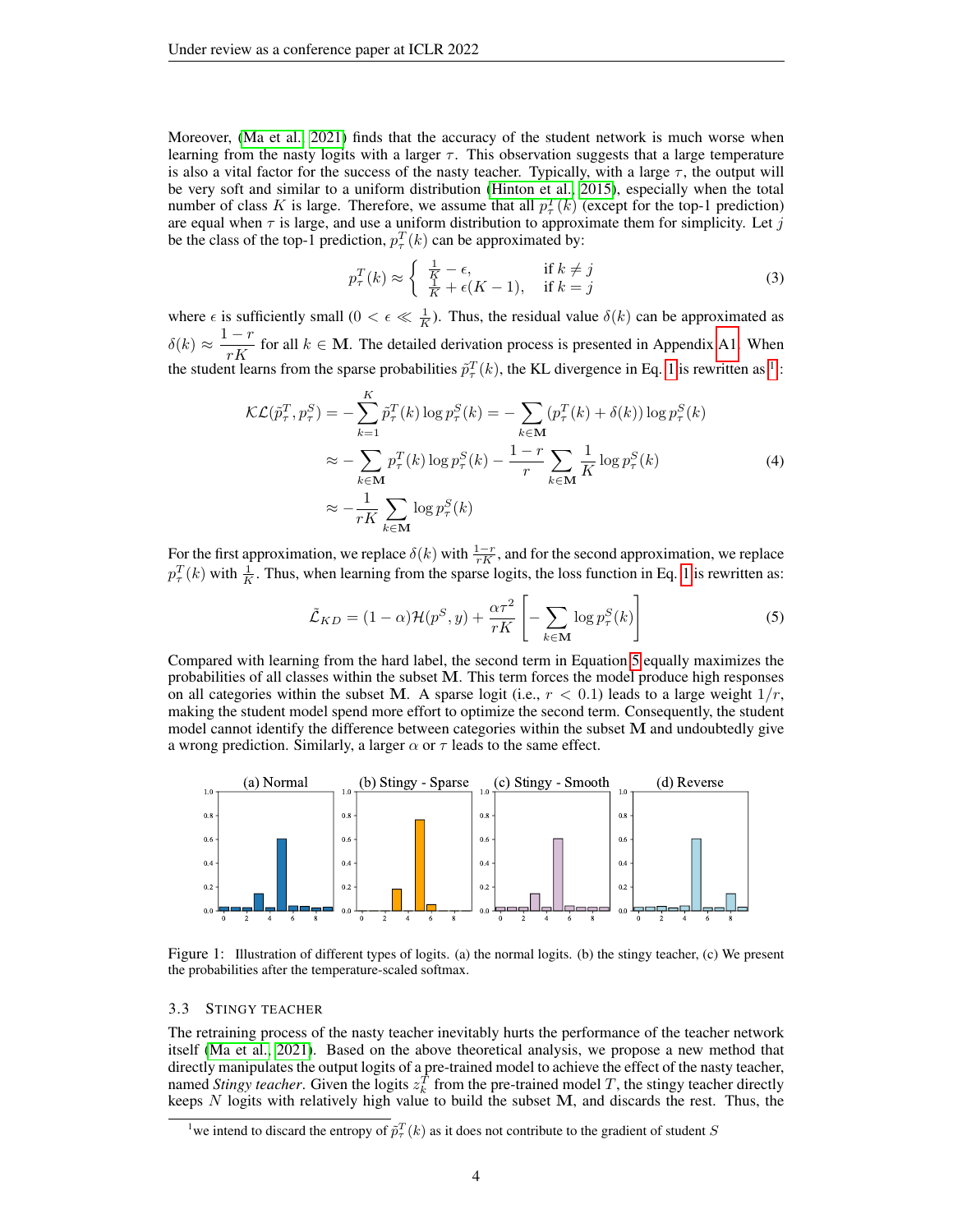Moreover, [\(Ma et al., 2021\)](#page-9-7) finds that the accuracy of the student network is much worse when learning from the nasty logits with a larger  $\tau$ . This observation suggests that a large temperature is also a vital factor for the success of the nasty teacher. Typically, with a large  $\tau$ , the output will be very soft and similar to a uniform distribution [\(Hinton et al., 2015\)](#page-9-0), especially when the total number of class K is large. Therefore, we assume that all  $p_{\tau}^{T}(k)$  (except for the top-1 prediction) are equal when  $\tau$  is large, and use a uniform distribution to approximate them for simplicity. Let j be the class of the top-1 prediction,  $p_{\tau}^{T}(k)$  can be approximated by:

<span id="page-3-4"></span>
$$
p_{\tau}^{T}(k) \approx \begin{cases} \frac{1}{K} - \epsilon, & \text{if } k \neq j\\ \frac{1}{K} + \epsilon(K - 1), & \text{if } k = j \end{cases}
$$
 (3)

where  $\epsilon$  is sufficiently small  $(0 < \epsilon \ll \frac{1}{K})$ . Thus, the residual value  $\delta(k)$  can be approximated as  $\delta(k) \approx \frac{1-r}{K}$ for all  $k \in M$ . The detailed derivation process is presented in Appendix [A1.](#page-11-0) When the student learns from the sparse probabilities  $\tilde{p}^T_{\tau}(k)$ , the KL divergence in Eq. [1](#page-2-0) is rewritten as <sup>[1](#page-3-0)</sup>:

<span id="page-3-3"></span>
$$
\mathcal{KL}(\tilde{p}_{\tau}^T, p_{\tau}^S) = -\sum_{k=1}^K \tilde{p}_{\tau}^T(k) \log p_{\tau}^S(k) = -\sum_{k \in \mathbf{M}} (p_{\tau}^T(k) + \delta(k)) \log p_{\tau}^S(k)
$$

$$
\approx -\sum_{k \in \mathbf{M}} p_{\tau}^T(k) \log p_{\tau}^S(k) - \frac{1-r}{r} \sum_{k \in \mathbf{M}} \frac{1}{K} \log p_{\tau}^S(k)
$$
(4)
$$
\approx -\frac{1}{rK} \sum_{k \in \mathbf{M}} \log p_{\tau}^S(k)
$$

For the first approximation, we replace  $\delta(k)$  with  $\frac{1-r}{rK}$ , and for the second approximation, we replace  $p_{\tau}^{T}(k)$  with  $\frac{1}{K}$ . Thus, when learning from the sparse logits, the loss function in Eq. [1](#page-2-0) is rewritten as:

<span id="page-3-1"></span>
$$
\tilde{\mathcal{L}}_{KD} = (1 - \alpha) \mathcal{H}(p^S, y) + \frac{\alpha \tau^2}{rK} \left[ - \sum_{k \in \mathbf{M}} \log p^S_\tau(k) \right]
$$
\n<sup>(5)</sup>

Compared with learning from the hard label, the second term in Equation [5](#page-3-1) equally maximizes the probabilities of all classes within the subset M. This term forces the model produce high responses on all categories within the subset M. A sparse logit (i.e.,  $r < 0.1$ ) leads to a large weight  $1/r$ , making the student model spend more effort to optimize the second term. Consequently, the student model cannot identify the difference between categories within the subset M and undoubtedly give a wrong prediction. Similarly, a larger  $\alpha$  or  $\tau$  leads to the same effect.



<span id="page-3-2"></span>Figure 1: Illustration of different types of logits. (a) the normal logits. (b) the stingy teacher, (c) We present the probabilities after the temperature-scaled softmax.

#### 3.3 STINGY TEACHER

The retraining process of the nasty teacher inevitably hurts the performance of the teacher network itself [\(Ma et al., 2021\)](#page-9-7). Based on the above theoretical analysis, we propose a new method that directly manipulates the output logits of a pre-trained model to achieve the effect of the nasty teacher, named *Stingy teacher*. Given the logits  $z_k^T$  from the pre-trained model T, the stingy teacher directly keeps  $N$  logits with relatively high value to build the subset  $M$ , and discards the rest. Thus, the

<span id="page-3-0"></span><sup>&</sup>lt;sup>1</sup> we intend to discard the entropy of  $\tilde{p}^T_{\tau}(k)$  as it does not contribute to the gradient of student S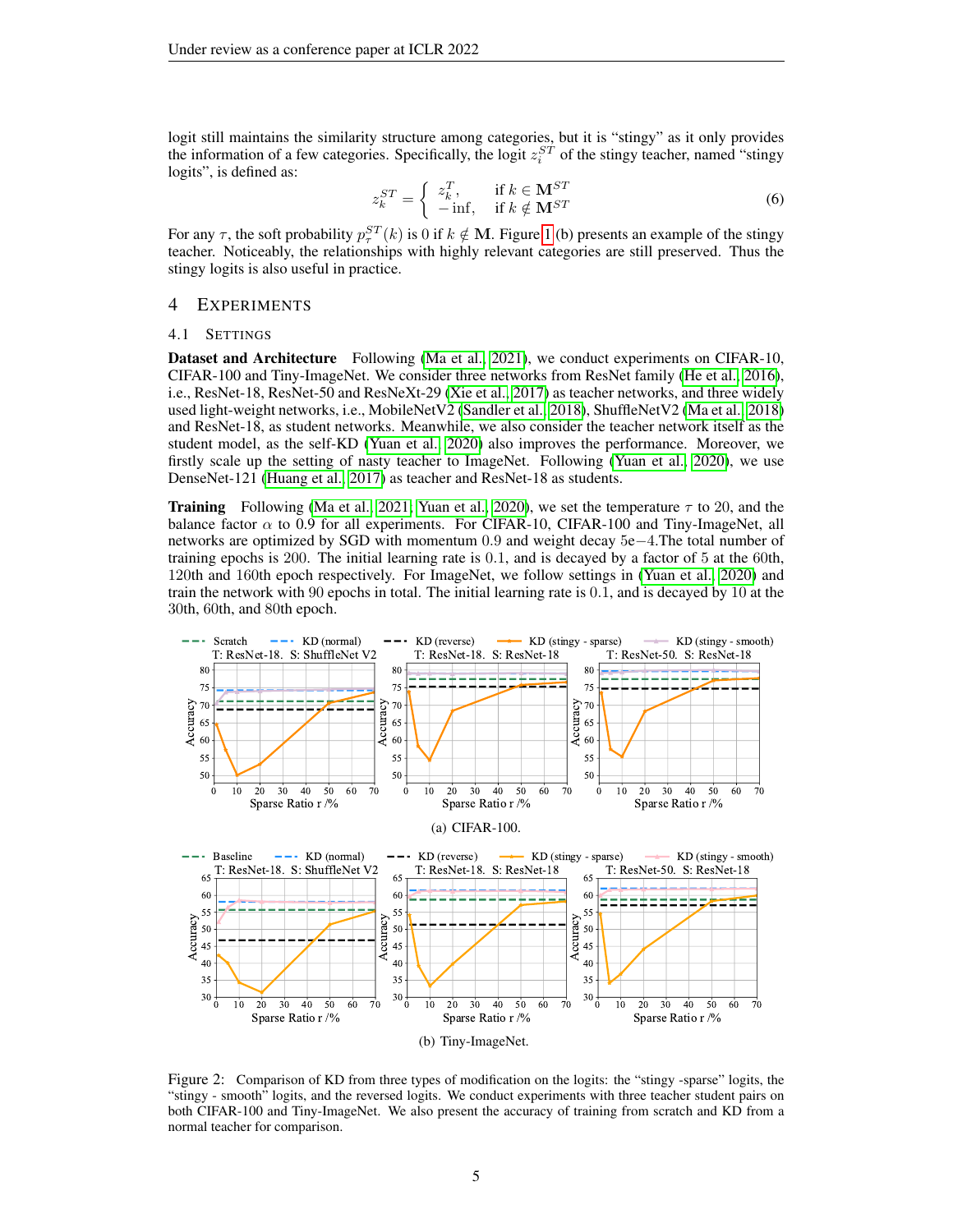logit still maintains the similarity structure among categories, but it is "stingy" as it only provides the information of a few categories. Specifically, the logit  $z_i^{ST}$  of the stingy teacher, named "stingy logits", is defined as:

$$
z_k^{ST} = \begin{cases} z_k^T, & \text{if } k \in \mathbf{M}^{ST} \\ -\inf, & \text{if } k \notin \mathbf{M}^{ST} \end{cases} \tag{6}
$$

For any  $\tau$ , the soft probability  $p_{\tau}^{ST}(k)$  is 0 if  $k \notin \mathbf{M}$ . Figure [1](#page-3-2) (b) presents an example of the stingy teacher. Noticeably, the relationships with highly relevant categories are still preserved. Thus the stingy logits is also useful in practice.

## 4 EXPERIMENTS

#### 4.1 SETTINGS

Dataset and Architecture Following [\(Ma et al., 2021\)](#page-9-7), we conduct experiments on CIFAR-10, CIFAR-100 and Tiny-ImageNet. We consider three networks from ResNet family [\(He et al., 2016\)](#page-9-13), i.e., ResNet-18, ResNet-50 and ResNeXt-29 [\(Xie et al., 2017\)](#page-10-9) as teacher networks, and three widely used light-weight networks, i.e., MobileNetV2 [\(Sandler et al., 2018\)](#page-10-10), ShuffleNetV2 [\(Ma et al., 2018\)](#page-9-14) and ResNet-18, as student networks. Meanwhile, we also consider the teacher network itself as the student model, as the self-KD [\(Yuan et al., 2020\)](#page-10-5) also improves the performance. Moreover, we firstly scale up the setting of nasty teacher to ImageNet. Following [\(Yuan et al., 2020\)](#page-10-5), we use DenseNet-121 [\(Huang et al., 2017\)](#page-9-15) as teacher and ResNet-18 as students.

**Training** Following [\(Ma et al., 2021;](#page-9-7) [Yuan et al., 2020\)](#page-10-5), we set the temperature  $\tau$  to 20, and the balance factor  $\alpha$  to 0.9 for all experiments. For CIFAR-10, CIFAR-100 and Tiny-ImageNet, all networks are optimized by SGD with momentum 0.9 and weight decay 5e−4.The total number of training epochs is 200. The initial learning rate is 0.1, and is decayed by a factor of 5 at the 60th, 120th and 160th epoch respectively. For ImageNet, we follow settings in [\(Yuan et al., 2020\)](#page-10-5) and train the network with 90 epochs in total. The initial learning rate is 0.1, and is decayed by 10 at the 30th, 60th, and 80th epoch.



<span id="page-4-0"></span>Figure 2: Comparison of KD from three types of modification on the logits: the "stingy -sparse" logits, the "stingy - smooth" logits, and the reversed logits. We conduct experiments with three teacher student pairs on both CIFAR-100 and Tiny-ImageNet. We also present the accuracy of training from scratch and KD from a normal teacher for comparison.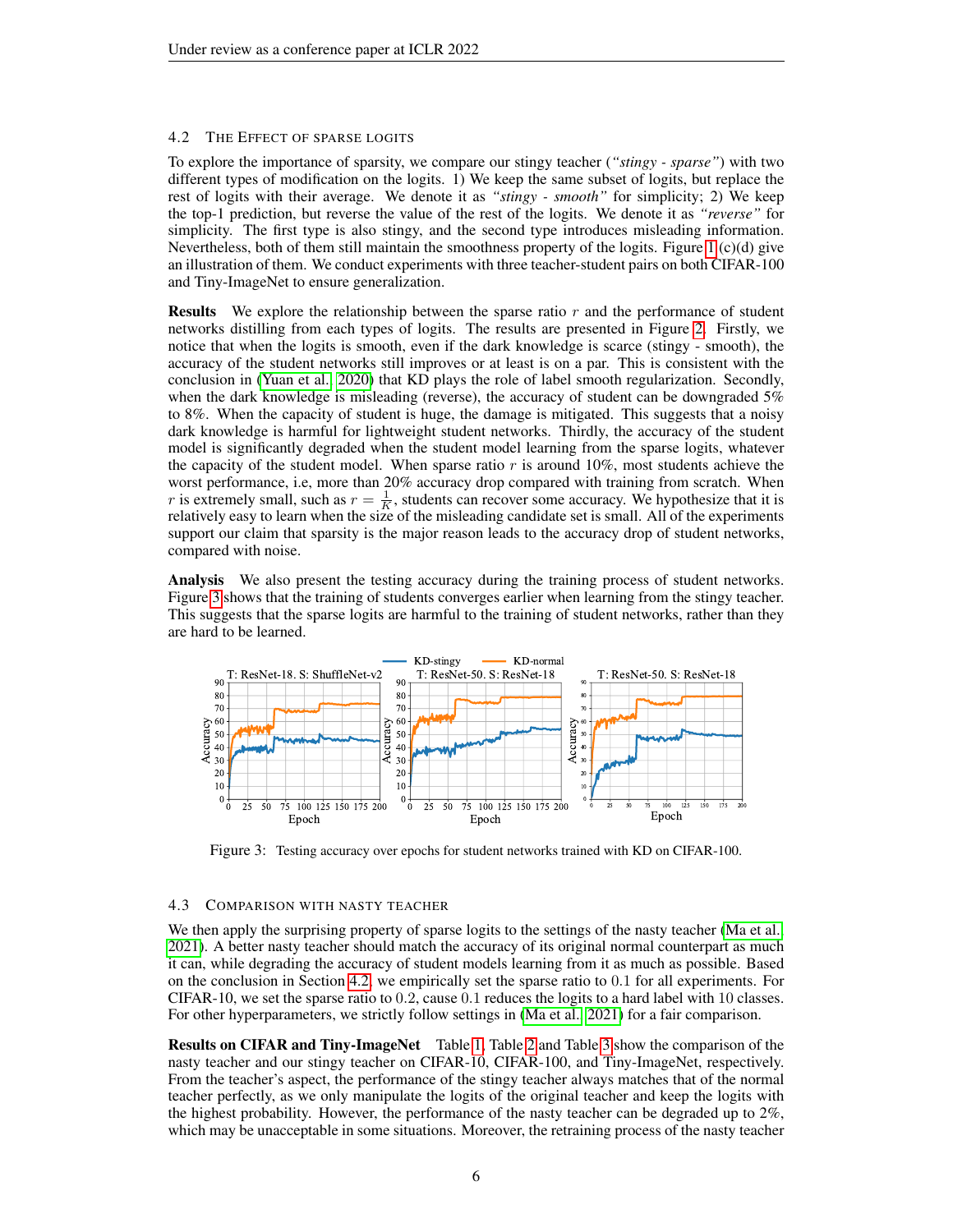### <span id="page-5-1"></span>4.2 THE EFFECT OF SPARSE LOGITS

To explore the importance of sparsity, we compare our stingy teacher (*"stingy - sparse"*) with two different types of modification on the logits. 1) We keep the same subset of logits, but replace the rest of logits with their average. We denote it as *"stingy - smooth"* for simplicity; 2) We keep the top-1 prediction, but reverse the value of the rest of the logits. We denote it as *"reverse"* for simplicity. The first type is also stingy, and the second type introduces misleading information. Nevertheless, both of them still maintain the smoothness property of the logits. Figure [1](#page-3-2) (c)(d) give an illustration of them. We conduct experiments with three teacher-student pairs on both CIFAR-100 and Tiny-ImageNet to ensure generalization.

**Results** We explore the relationship between the sparse ratio  $r$  and the performance of student networks distilling from each types of logits. The results are presented in Figure [2.](#page-4-0) Firstly, we notice that when the logits is smooth, even if the dark knowledge is scarce (stingy - smooth), the accuracy of the student networks still improves or at least is on a par. This is consistent with the conclusion in [\(Yuan et al., 2020\)](#page-10-5) that KD plays the role of label smooth regularization. Secondly, when the dark knowledge is misleading (reverse), the accuracy of student can be downgraded 5% to 8%. When the capacity of student is huge, the damage is mitigated. This suggests that a noisy dark knowledge is harmful for lightweight student networks. Thirdly, the accuracy of the student model is significantly degraded when the student model learning from the sparse logits, whatever the capacity of the student model. When sparse ratio  $r$  is around 10%, most students achieve the worst performance, i.e, more than 20% accuracy drop compared with training from scratch. When r is extremely small, such as  $r = \frac{1}{K}$ , students can recover some accuracy. We hypothesize that it is relatively easy to learn when the size of the misleading candidate set is small. All of the experiments support our claim that sparsity is the major reason leads to the accuracy drop of student networks, compared with noise.

Analysis We also present the testing accuracy during the training process of student networks. Figure [3](#page-5-0) shows that the training of students converges earlier when learning from the stingy teacher. This suggests that the sparse logits are harmful to the training of student networks, rather than they are hard to be learned.



<span id="page-5-0"></span>Figure 3: Testing accuracy over epochs for student networks trained with KD on CIFAR-100.

## 4.3 COMPARISON WITH NASTY TEACHER

We then apply the surprising property of sparse logits to the settings of the nasty teacher [\(Ma et al.,](#page-9-7) [2021\)](#page-9-7). A better nasty teacher should match the accuracy of its original normal counterpart as much it can, while degrading the accuracy of student models learning from it as much as possible. Based on the conclusion in Section [4.2,](#page-5-1) we empirically set the sparse ratio to 0.1 for all experiments. For CIFAR-10, we set the sparse ratio to 0.2, cause 0.1 reduces the logits to a hard label with 10 classes. For other hyperparameters, we strictly follow settings in [\(Ma et al., 2021\)](#page-9-7) for a fair comparison.

Results on CIFAR and Tiny-ImageNet Table [1,](#page-6-0) Table [2](#page-6-1) and Table [3](#page-7-0) show the comparison of the nasty teacher and our stingy teacher on CIFAR-10, CIFAR-100, and Tiny-ImageNet, respectively. From the teacher's aspect, the performance of the stingy teacher always matches that of the normal teacher perfectly, as we only manipulate the logits of the original teacher and keep the logits with the highest probability. However, the performance of the nasty teacher can be degraded up to 2%, which may be unacceptable in some situations. Moreover, the retraining process of the nasty teacher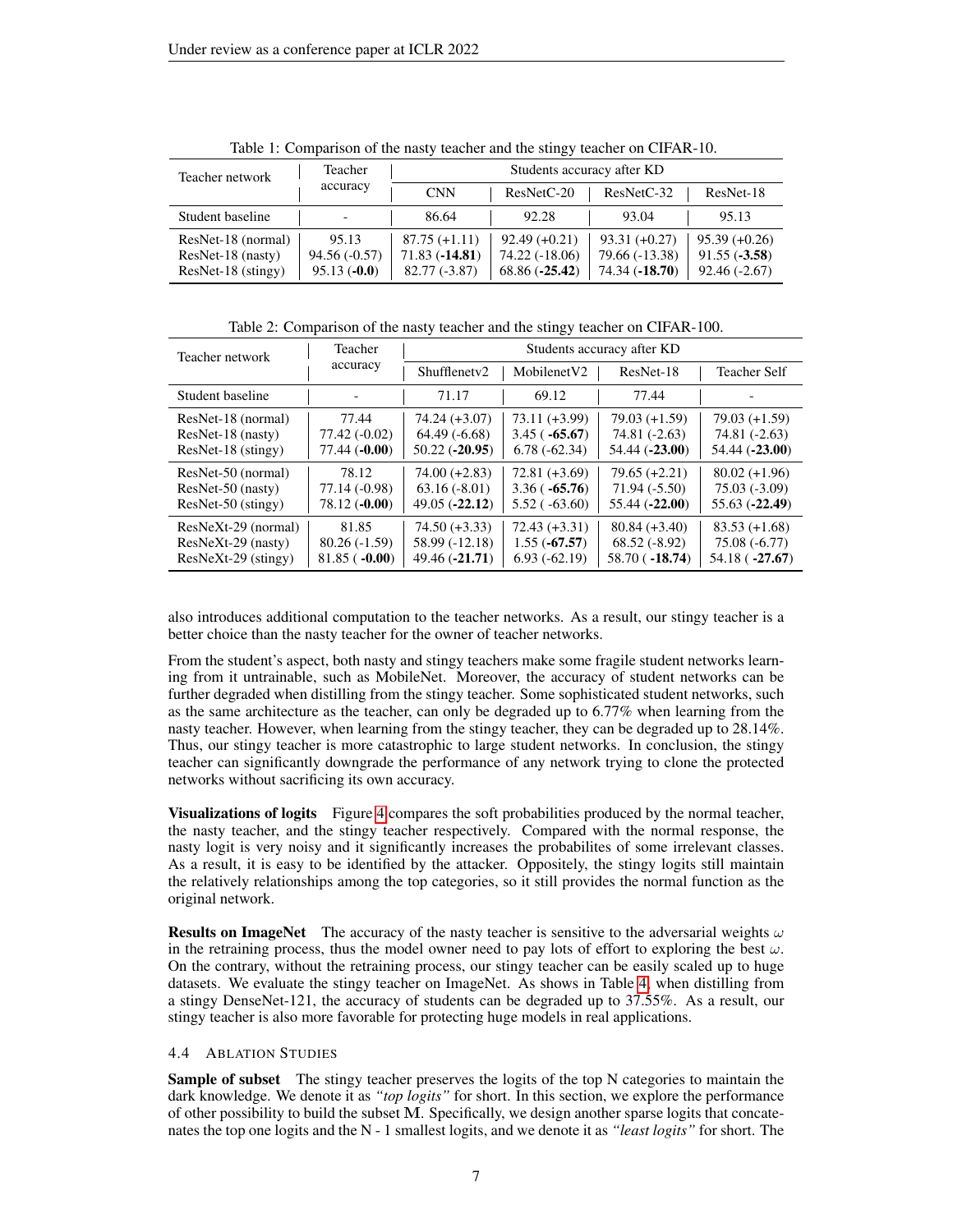| Teacher network    | Teacher<br>accuracy | Students accuracy after KD |                 |                 |                 |
|--------------------|---------------------|----------------------------|-----------------|-----------------|-----------------|
|                    |                     | <b>CNN</b>                 | ResNetC-20      | $ResNetC-32$    | ResNet-18       |
| Student baseline   |                     | 86.64                      | 92.28           | 93.04           | 95.13           |
| ResNet-18 (normal) | 95.13               | $87.75 (+1.11)$            | $92.49 (+0.21)$ | $93.31 (+0.27)$ | $95.39 (+0.26)$ |
| ResNet-18 (nasty)  | $94.56(-0.57)$      | $71.83(-14.81)$            | 74.22 (-18.06)  | 79.66 (-13.38)  | $91.55(-3.58)$  |
| ResNet-18 (stingy) | $95.13(-0.0)$       | $82.77(-3.87)$             | $68.86(-25.42)$ | 74.34 (-18.70)  | $92.46(-2.67)$  |

<span id="page-6-0"></span>Table 1: Comparison of the nasty teacher and the stingy teacher on CIFAR-10.

<span id="page-6-1"></span>Table 2: Comparison of the nasty teacher and the stingy teacher on CIFAR-100.

| Teacher network       | Teacher<br>accuracy | Students accuracy after KD |                         |                 |                     |
|-----------------------|---------------------|----------------------------|-------------------------|-----------------|---------------------|
|                       |                     | Shufflenetv2               | Mobilenet <sub>V2</sub> | ResNet-18       | <b>Teacher Self</b> |
| Student baseline      |                     | 71.17                      | 69.12                   | 77.44           |                     |
| ResNet-18 (normal)    | 77.44               | $74.24 (+3.07)$            | $73.11 (+3.99)$         | $79.03 (+1.59)$ | $79.03 (+1.59)$     |
| ResNet-18 (nasty)     | 77.42 (-0.02)       | $64.49(-6.68)$             | $3.45(-65.67)$          | 74.81 (-2.63)   | 74.81 (-2.63)       |
| ResNet-18 (stingy)    | $77.44(-0.00)$      | $50.22$ ( $-20.95$ )       | $6.78(-62.34)$          | 54.44 (-23.00)  | 54.44 (-23.00)      |
| ResNet-50 (normal)    | 78.12               | $74.00 (+2.83)$            | $72.81 (+3.69)$         | $79.65 (+2.21)$ | $80.02 (+1.96)$     |
| ResNet-50 (nasty)     | 77.14 (-0.98)       | $63.16(-8.01)$             | $3.36(-65.76)$          | $71.94(-5.50)$  | $75.03(-3.09)$      |
| ResNet-50 (stingy)    | $78.12(-0.00)$      | $49.05(-22.12)$            | $5.52$ ( $-63.60$ )     | $55.44(-22.00)$ | $55.63(-22.49)$     |
| ResNeXt-29 (normal)   | 81.85               | $74.50 (+3.33)$            | $72.43 (+3.31)$         | $80.84 (+3.40)$ | $83.53 (+1.68)$     |
| ResNeXt-29 (nasty)    | $80.26(-1.59)$      | 58.99 (-12.18)             | $1.55(-67.57)$          | $68.52(-8.92)$  | $75.08(-6.77)$      |
| $ResNeXt-29$ (stingy) | $81.85( -0.00)$     | $49.46(-21.71)$            | $6.93(-62.19)$          | $58.70(-18.74)$ | $54.18(-27.67)$     |

also introduces additional computation to the teacher networks. As a result, our stingy teacher is a better choice than the nasty teacher for the owner of teacher networks.

From the student's aspect, both nasty and stingy teachers make some fragile student networks learning from it untrainable, such as MobileNet. Moreover, the accuracy of student networks can be further degraded when distilling from the stingy teacher. Some sophisticated student networks, such as the same architecture as the teacher, can only be degraded up to 6.77% when learning from the nasty teacher. However, when learning from the stingy teacher, they can be degraded up to 28.14%. Thus, our stingy teacher is more catastrophic to large student networks. In conclusion, the stingy teacher can significantly downgrade the performance of any network trying to clone the protected networks without sacrificing its own accuracy.

**Visualizations of logits** Figure [4](#page-7-1) compares the soft probabilities produced by the normal teacher, the nasty teacher, and the stingy teacher respectively. Compared with the normal response, the nasty logit is very noisy and it significantly increases the probabilites of some irrelevant classes. As a result, it is easy to be identified by the attacker. Oppositely, the stingy logits still maintain the relatively relationships among the top categories, so it still provides the normal function as the original network.

**Results on ImageNet** The accuracy of the nasty teacher is sensitive to the adversarial weights  $\omega$ in the retraining process, thus the model owner need to pay lots of effort to exploring the best  $\omega$ . On the contrary, without the retraining process, our stingy teacher can be easily scaled up to huge datasets. We evaluate the stingy teacher on ImageNet. As shows in Table [4,](#page-8-0) when distilling from a stingy DenseNet-121, the accuracy of students can be degraded up to 37.55%. As a result, our stingy teacher is also more favorable for protecting huge models in real applications.

## 4.4 ABLATION STUDIES

Sample of subset The stingy teacher preserves the logits of the top N categories to maintain the dark knowledge. We denote it as *"top logits"* for short. In this section, we explore the performance of other possibility to build the subset M. Specifically, we design another sparse logits that concatenates the top one logits and the N - 1 smallest logits, and we denote it as *"least logits"* for short. The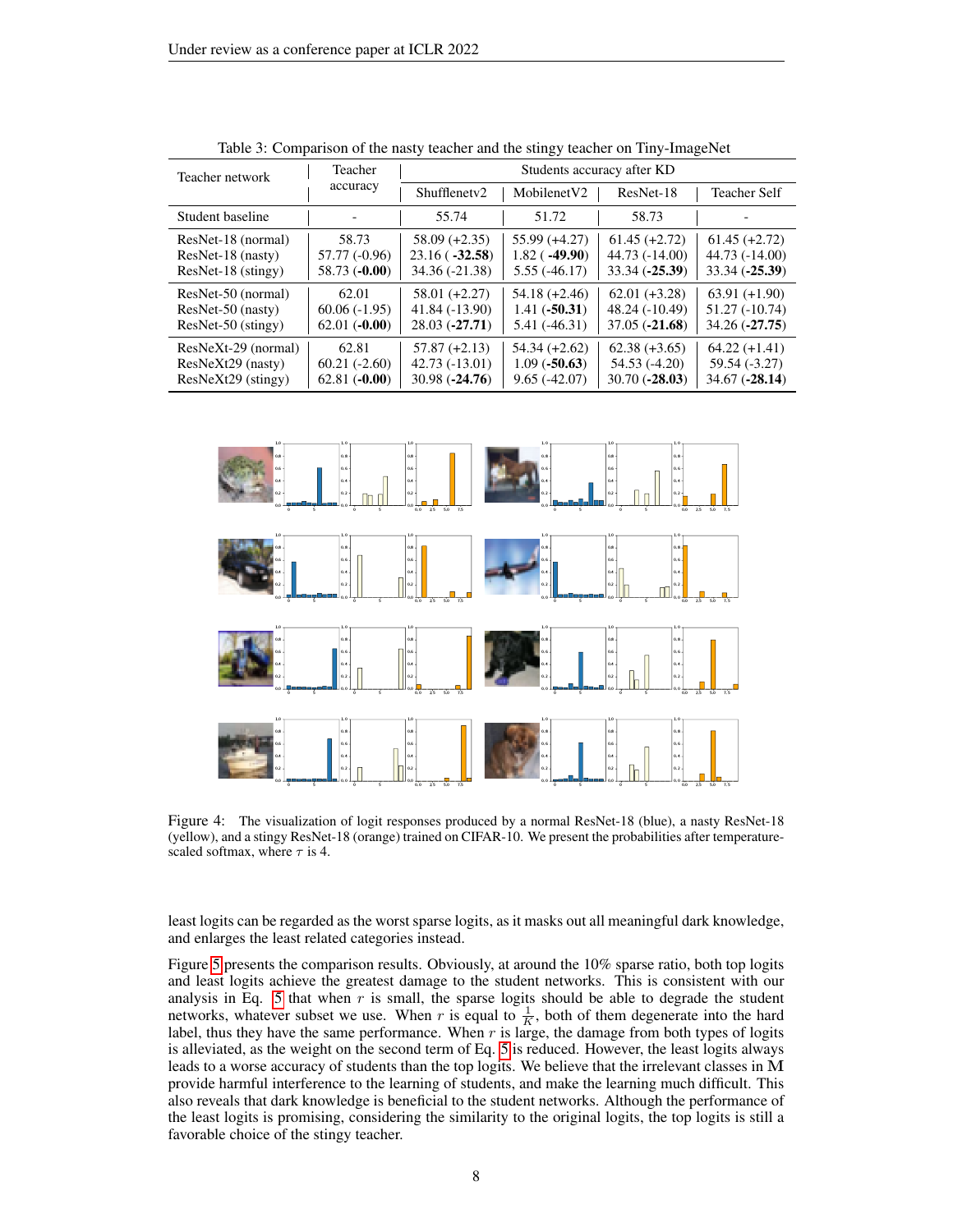| Teacher network     | Teacher<br>accuracy | Students accuracy after KD |                         |                 |                     |
|---------------------|---------------------|----------------------------|-------------------------|-----------------|---------------------|
|                     |                     | Shufflenety <sub>2</sub>   | Mobilenet <sub>V2</sub> | ResNet-18       | <b>Teacher Self</b> |
| Student baseline    |                     | 55.74                      | 51.72                   | 58.73           |                     |
| ResNet-18 (normal)  | 58.73               | $58.09 (+2.35)$            | $55.99 (+4.27)$         | $61.45 (+2.72)$ | $61.45 (+2.72)$     |
| ResNet-18 (nasty)   | 57.77 (-0.96)       | $23.16(-32.58)$            | $1.82$ ( $-49.90$ )     | 44.73 (-14.00)  | 44.73 (-14.00)      |
| ResNet-18 (stingy)  | $58.73(-0.00)$      | 34.36 (-21.38)             | $5.55(-46.17)$          | 33.34 (-25.39)  | $33.34 (-25.39)$    |
| ResNet-50 (normal)  | 62.01               | $58.01 (+2.27)$            | $54.18 (+2.46)$         | $62.01 (+3.28)$ | $63.91 (+1.90)$     |
| ResNet-50 (nasty)   | $60.06(-1.95)$      | 41.84 (-13.90)             | $1.41(-50.31)$          | 48.24 (-10.49)  | $51.27(-10.74)$     |
| ResNet-50 (stingy)  | $62.01(-0.00)$      | $28.03(-27.71)$            | $5.41(-46.31)$          | $37.05(-21.68)$ | $34.26(-27.75)$     |
| ResNeXt-29 (normal) | 62.81               | $57.87 (+2.13)$            | $54.34(+2.62)$          | $62.38 (+3.65)$ | $64.22 (+1.41)$     |
| ResNeXt29 (nasty)   | $60.21(-2.60)$      | $42.73(-13.01)$            | $1.09(-50.63)$          | $54.53(-4.20)$  | 59.54 (-3.27)       |
| ResNeXt29 (stingy)  | $62.81(-0.00)$      | $30.98(-24.76)$            | $9.65(-42.07)$          | $30.70(-28.03)$ | $34.67(-28.14)$     |

<span id="page-7-0"></span>Table 3: Comparison of the nasty teacher and the stingy teacher on Tiny-ImageNet



<span id="page-7-1"></span>Figure 4: The visualization of logit responses produced by a normal ResNet-18 (blue), a nasty ResNet-18 (yellow), and a stingy ResNet-18 (orange) trained on CIFAR-10. We present the probabilities after temperaturescaled softmax, where  $\tau$  is 4.

least logits can be regarded as the worst sparse logits, as it masks out all meaningful dark knowledge, and enlarges the least related categories instead.

Figure [5](#page-8-1) presents the comparison results. Obviously, at around the 10% sparse ratio, both top logits and least logits achieve the greatest damage to the student networks. This is consistent with our analysis in Eq. [5](#page-3-1) that when  $r$  is small, the sparse logits should be able to degrade the student networks, whatever subset we use. When r is equal to  $\frac{1}{K}$ , both of them degenerate into the hard label, thus they have the same performance. When  $r$  is large, the damage from both types of logits is alleviated, as the weight on the second term of Eq. [5](#page-3-1) is reduced. However, the least logits always leads to a worse accuracy of students than the top logits. We believe that the irrelevant classes in M provide harmful interference to the learning of students, and make the learning much difficult. This also reveals that dark knowledge is beneficial to the student networks. Although the performance of the least logits is promising, considering the similarity to the original logits, the top logits is still a favorable choice of the stingy teacher.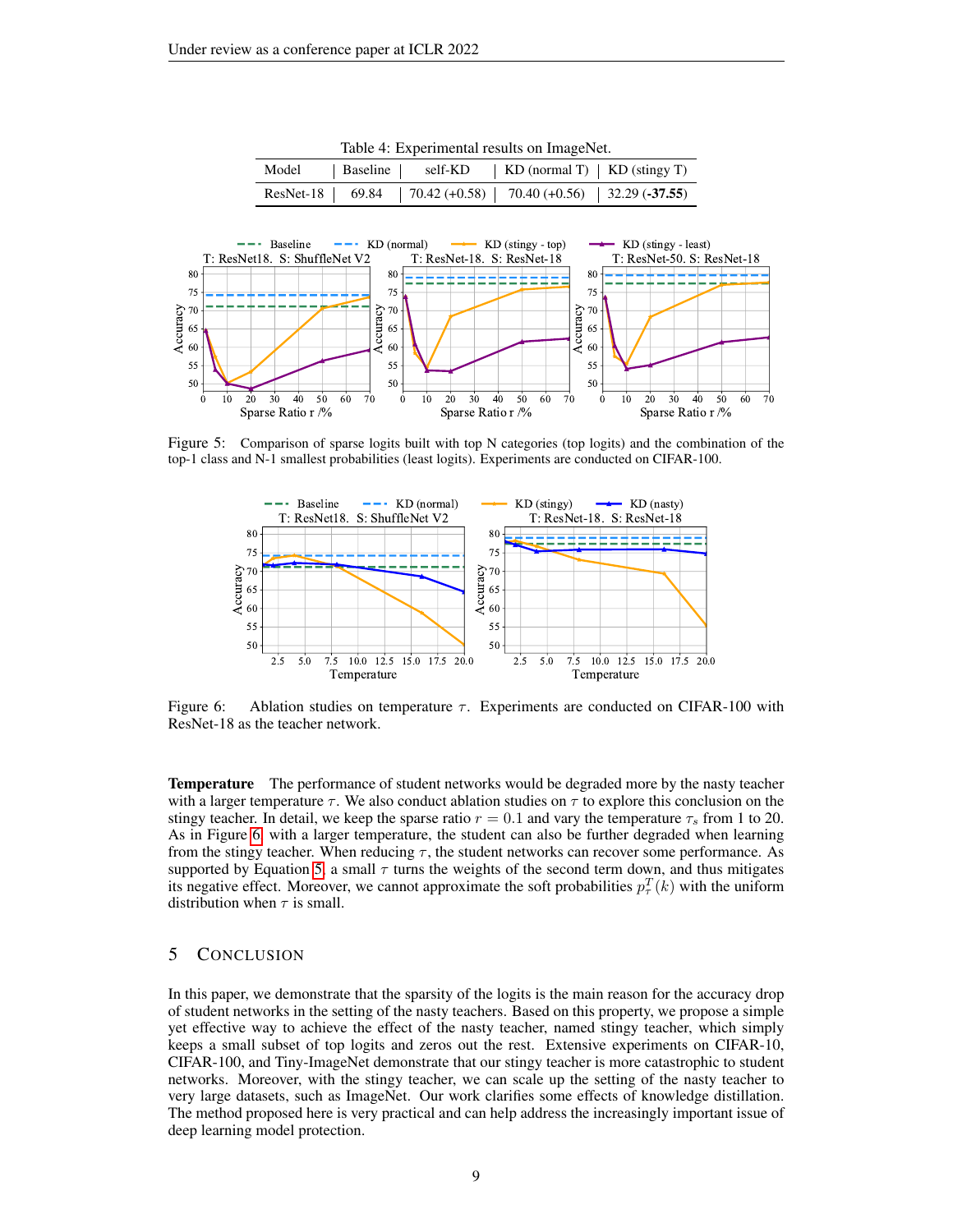| raore ". Experimental results on mitager tet: |  |  |                                                                    |  |
|-----------------------------------------------|--|--|--------------------------------------------------------------------|--|
|                                               |  |  | Model   Baseline   self-KD   KD (normal T)   KD (stingy T)         |  |
|                                               |  |  | ResNet-18   69.84   70.42 (+0.58)   70.40 (+0.56)   32.29 (-37.55) |  |

<span id="page-8-0"></span>Table 4: Experimental results on ImageNet.



Figure 5: Comparison of sparse logits built with top N categories (top logits) and the combination of the top-1 class and N-1 smallest probabilities (least logits). Experiments are conducted on CIFAR-100.

<span id="page-8-1"></span>

<span id="page-8-2"></span>Figure 6: Ablation studies on temperature  $\tau$ . Experiments are conducted on CIFAR-100 with ResNet-18 as the teacher network.

**Temperature** The performance of student networks would be degraded more by the nasty teacher with a larger temperature  $\tau$ . We also conduct ablation studies on  $\tau$  to explore this conclusion on the stingy teacher. In detail, we keep the sparse ratio  $r = 0.1$  and vary the temperature  $\tau_s$  from 1 to 20. As in Figure [6,](#page-8-2) with a larger temperature, the student can also be further degraded when learning from the stingy teacher. When reducing  $\tau$ , the student networks can recover some performance. As supported by Equation [5,](#page-3-1) a small  $\tau$  turns the weights of the second term down, and thus mitigates its negative effect. Moreover, we cannot approximate the soft probabilities  $p_{\tau}^{T}(k)$  with the uniform distribution when  $\tau$  is small.

# 5 CONCLUSION

In this paper, we demonstrate that the sparsity of the logits is the main reason for the accuracy drop of student networks in the setting of the nasty teachers. Based on this property, we propose a simple yet effective way to achieve the effect of the nasty teacher, named stingy teacher, which simply keeps a small subset of top logits and zeros out the rest. Extensive experiments on CIFAR-10, CIFAR-100, and Tiny-ImageNet demonstrate that our stingy teacher is more catastrophic to student networks. Moreover, with the stingy teacher, we can scale up the setting of the nasty teacher to very large datasets, such as ImageNet. Our work clarifies some effects of knowledge distillation. The method proposed here is very practical and can help address the increasingly important issue of deep learning model protection.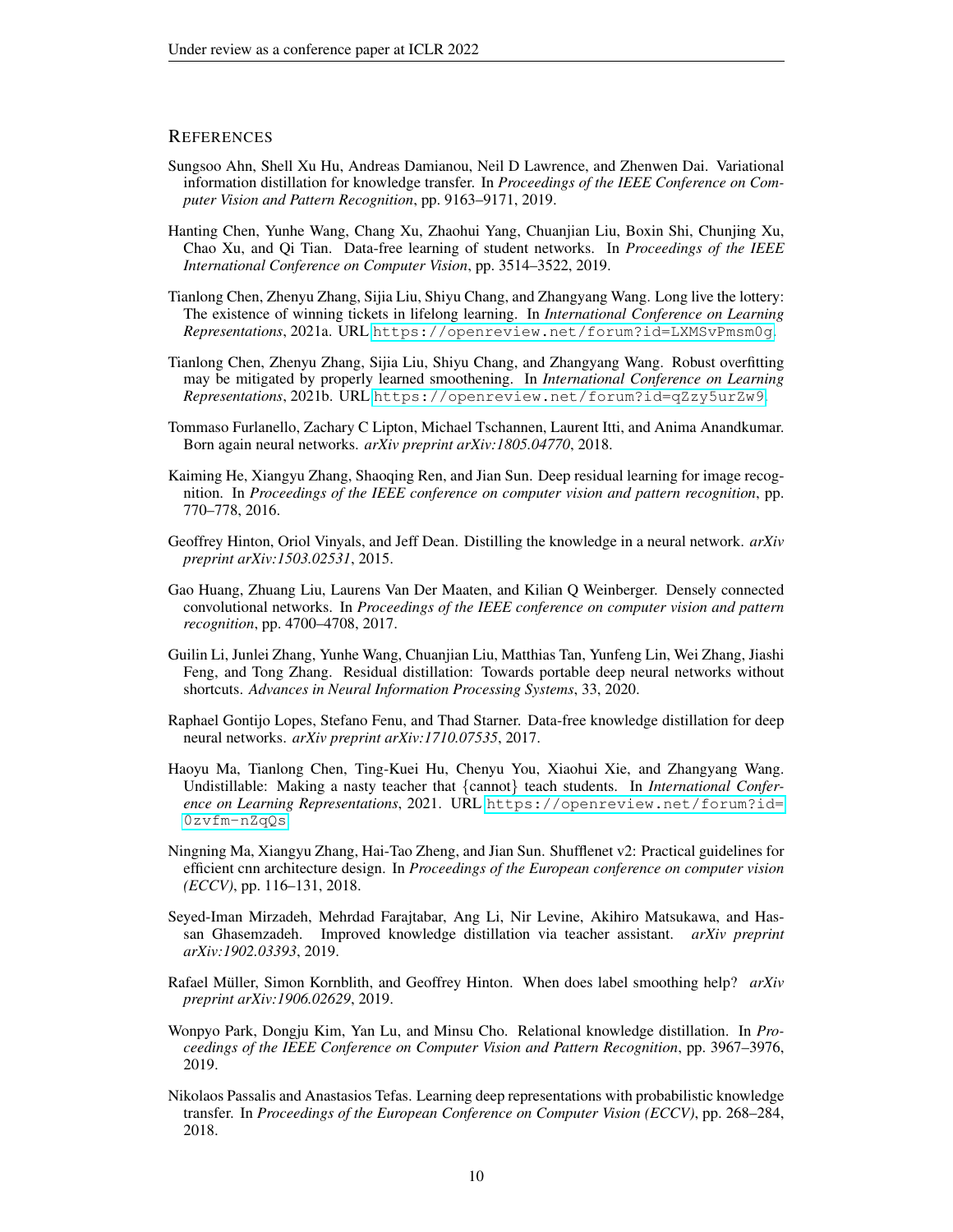# **REFERENCES**

- <span id="page-9-5"></span>Sungsoo Ahn, Shell Xu Hu, Andreas Damianou, Neil D Lawrence, and Zhenwen Dai. Variational information distillation for knowledge transfer. In *Proceedings of the IEEE Conference on Computer Vision and Pattern Recognition*, pp. 9163–9171, 2019.
- <span id="page-9-9"></span>Hanting Chen, Yunhe Wang, Chang Xu, Zhaohui Yang, Chuanjian Liu, Boxin Shi, Chunjing Xu, Chao Xu, and Qi Tian. Data-free learning of student networks. In *Proceedings of the IEEE International Conference on Computer Vision*, pp. 3514–3522, 2019.
- <span id="page-9-3"></span>Tianlong Chen, Zhenyu Zhang, Sijia Liu, Shiyu Chang, and Zhangyang Wang. Long live the lottery: The existence of winning tickets in lifelong learning. In *International Conference on Learning Representations*, 2021a. URL <https://openreview.net/forum?id=LXMSvPmsm0g>.
- <span id="page-9-10"></span>Tianlong Chen, Zhenyu Zhang, Sijia Liu, Shiyu Chang, and Zhangyang Wang. Robust overfitting may be mitigated by properly learned smoothening. In *International Conference on Learning Representations*, 2021b. URL <https://openreview.net/forum?id=qZzy5urZw9>.
- <span id="page-9-11"></span>Tommaso Furlanello, Zachary C Lipton, Michael Tschannen, Laurent Itti, and Anima Anandkumar. Born again neural networks. *arXiv preprint arXiv:1805.04770*, 2018.
- <span id="page-9-13"></span>Kaiming He, Xiangyu Zhang, Shaoqing Ren, and Jian Sun. Deep residual learning for image recognition. In *Proceedings of the IEEE conference on computer vision and pattern recognition*, pp. 770–778, 2016.
- <span id="page-9-0"></span>Geoffrey Hinton, Oriol Vinyals, and Jeff Dean. Distilling the knowledge in a neural network. *arXiv preprint arXiv:1503.02531*, 2015.
- <span id="page-9-15"></span>Gao Huang, Zhuang Liu, Laurens Van Der Maaten, and Kilian Q Weinberger. Densely connected convolutional networks. In *Proceedings of the IEEE conference on computer vision and pattern recognition*, pp. 4700–4708, 2017.
- <span id="page-9-6"></span>Guilin Li, Junlei Zhang, Yunhe Wang, Chuanjian Liu, Matthias Tan, Yunfeng Lin, Wei Zhang, Jiashi Feng, and Tong Zhang. Residual distillation: Towards portable deep neural networks without shortcuts. *Advances in Neural Information Processing Systems*, 33, 2020.
- <span id="page-9-8"></span>Raphael Gontijo Lopes, Stefano Fenu, and Thad Starner. Data-free knowledge distillation for deep neural networks. *arXiv preprint arXiv:1710.07535*, 2017.
- <span id="page-9-7"></span>Haoyu Ma, Tianlong Chen, Ting-Kuei Hu, Chenyu You, Xiaohui Xie, and Zhangyang Wang. Undistillable: Making a nasty teacher that {cannot} teach students. In *International Conference on Learning Representations*, 2021. URL [https://openreview.net/forum?id=](https://openreview.net/forum?id=0zvfm-nZqQs) [0zvfm-nZqQs](https://openreview.net/forum?id=0zvfm-nZqQs).
- <span id="page-9-14"></span>Ningning Ma, Xiangyu Zhang, Hai-Tao Zheng, and Jian Sun. Shufflenet v2: Practical guidelines for efficient cnn architecture design. In *Proceedings of the European conference on computer vision (ECCV)*, pp. 116–131, 2018.
- <span id="page-9-2"></span>Seyed-Iman Mirzadeh, Mehrdad Farajtabar, Ang Li, Nir Levine, Akihiro Matsukawa, and Hassan Ghasemzadeh. Improved knowledge distillation via teacher assistant. *arXiv preprint arXiv:1902.03393*, 2019.
- <span id="page-9-12"></span>Rafael Müller, Simon Kornblith, and Geoffrey Hinton. When does label smoothing help? *arXiv preprint arXiv:1906.02629*, 2019.
- <span id="page-9-1"></span>Wonpyo Park, Dongju Kim, Yan Lu, and Minsu Cho. Relational knowledge distillation. In *Proceedings of the IEEE Conference on Computer Vision and Pattern Recognition*, pp. 3967–3976, 2019.
- <span id="page-9-4"></span>Nikolaos Passalis and Anastasios Tefas. Learning deep representations with probabilistic knowledge transfer. In *Proceedings of the European Conference on Computer Vision (ECCV)*, pp. 268–284, 2018.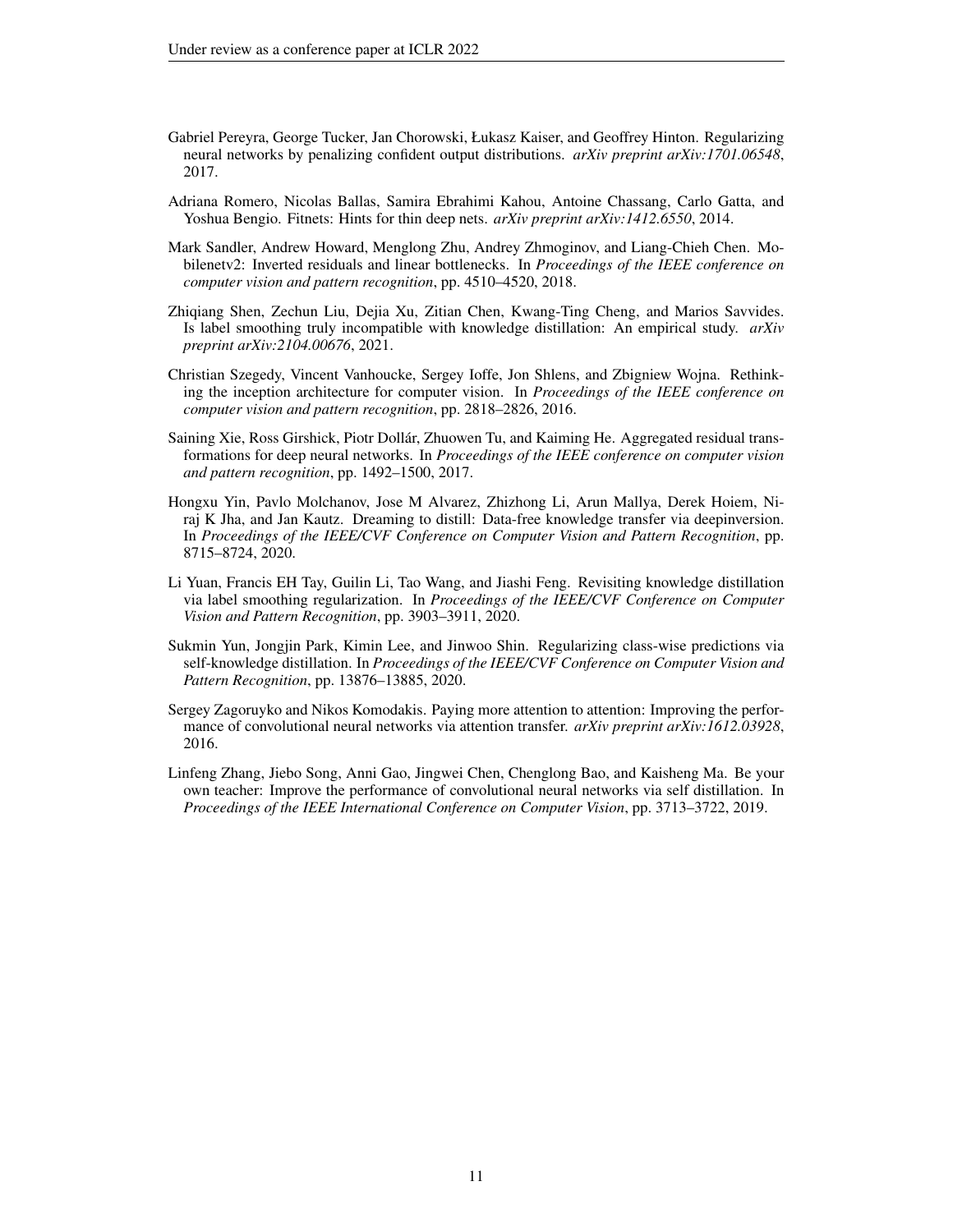- <span id="page-10-7"></span>Gabriel Pereyra, George Tucker, Jan Chorowski, Łukasz Kaiser, and Geoffrey Hinton. Regularizing neural networks by penalizing confident output distributions. *arXiv preprint arXiv:1701.06548*, 2017.
- <span id="page-10-0"></span>Adriana Romero, Nicolas Ballas, Samira Ebrahimi Kahou, Antoine Chassang, Carlo Gatta, and Yoshua Bengio. Fitnets: Hints for thin deep nets. *arXiv preprint arXiv:1412.6550*, 2014.
- <span id="page-10-10"></span>Mark Sandler, Andrew Howard, Menglong Zhu, Andrey Zhmoginov, and Liang-Chieh Chen. Mobilenetv2: Inverted residuals and linear bottlenecks. In *Proceedings of the IEEE conference on computer vision and pattern recognition*, pp. 4510–4520, 2018.
- <span id="page-10-8"></span>Zhiqiang Shen, Zechun Liu, Dejia Xu, Zitian Chen, Kwang-Ting Cheng, and Marios Savvides. Is label smoothing truly incompatible with knowledge distillation: An empirical study. *arXiv preprint arXiv:2104.00676*, 2021.
- <span id="page-10-6"></span>Christian Szegedy, Vincent Vanhoucke, Sergey Ioffe, Jon Shlens, and Zbigniew Wojna. Rethinking the inception architecture for computer vision. In *Proceedings of the IEEE conference on computer vision and pattern recognition*, pp. 2818–2826, 2016.
- <span id="page-10-9"></span>Saining Xie, Ross Girshick, Piotr Dollár, Zhuowen Tu, and Kaiming He. Aggregated residual transformations for deep neural networks. In *Proceedings of the IEEE conference on computer vision and pattern recognition*, pp. 1492–1500, 2017.
- <span id="page-10-2"></span>Hongxu Yin, Pavlo Molchanov, Jose M Alvarez, Zhizhong Li, Arun Mallya, Derek Hoiem, Niraj K Jha, and Jan Kautz. Dreaming to distill: Data-free knowledge transfer via deepinversion. In *Proceedings of the IEEE/CVF Conference on Computer Vision and Pattern Recognition*, pp. 8715–8724, 2020.
- <span id="page-10-5"></span>Li Yuan, Francis EH Tay, Guilin Li, Tao Wang, and Jiashi Feng. Revisiting knowledge distillation via label smoothing regularization. In *Proceedings of the IEEE/CVF Conference on Computer Vision and Pattern Recognition*, pp. 3903–3911, 2020.
- <span id="page-10-4"></span>Sukmin Yun, Jongjin Park, Kimin Lee, and Jinwoo Shin. Regularizing class-wise predictions via self-knowledge distillation. In *Proceedings of the IEEE/CVF Conference on Computer Vision and Pattern Recognition*, pp. 13876–13885, 2020.
- <span id="page-10-1"></span>Sergey Zagoruyko and Nikos Komodakis. Paying more attention to attention: Improving the performance of convolutional neural networks via attention transfer. *arXiv preprint arXiv:1612.03928*, 2016.
- <span id="page-10-3"></span>Linfeng Zhang, Jiebo Song, Anni Gao, Jingwei Chen, Chenglong Bao, and Kaisheng Ma. Be your own teacher: Improve the performance of convolutional neural networks via self distillation. In *Proceedings of the IEEE International Conference on Computer Vision*, pp. 3713–3722, 2019.